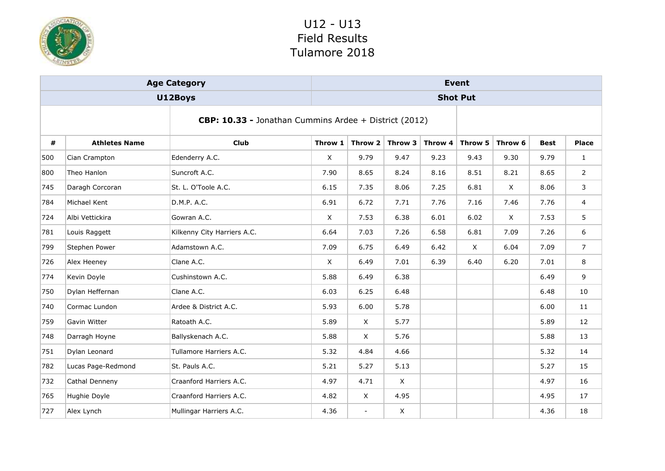

|     |                      | <b>Age Category</b>                                   |              |                |              |         | <b>Event</b>    |              |             |                |
|-----|----------------------|-------------------------------------------------------|--------------|----------------|--------------|---------|-----------------|--------------|-------------|----------------|
|     |                      | U12Boys                                               |              |                |              |         | <b>Shot Put</b> |              |             |                |
|     |                      | CBP: 10.33 - Jonathan Cummins Ardee + District (2012) |              |                |              |         |                 |              |             |                |
| #   | <b>Athletes Name</b> | <b>Club</b>                                           | Throw 1      | Throw 2 $ $    | Throw 3      | Throw 4 | Throw 5         | Throw 6      | <b>Best</b> | <b>Place</b>   |
| 500 | Cian Crampton        | Edenderry A.C.                                        | $\mathsf{X}$ | 9.79           | 9.47         | 9.23    | 9.43            | 9.30         | 9.79        | $\mathbf{1}$   |
| 800 | Theo Hanlon          | Suncroft A.C.                                         | 7.90         | 8.65           | 8.24         | 8.16    | 8.51            | 8.21         | 8.65        | $\overline{2}$ |
| 745 | Daragh Corcoran      | St. L. O'Toole A.C.                                   | 6.15         | 7.35           | 8.06         | 7.25    | 6.81            | $\mathsf{X}$ | 8.06        | 3              |
| 784 | Michael Kent         | D.M.P. A.C.                                           | 6.91         | 6.72           | 7.71         | 7.76    | 7.16            | 7.46         | 7.76        | $\overline{4}$ |
| 724 | Albi Vettickira      | Gowran A.C.                                           | $\mathsf{X}$ | 7.53           | 6.38         | 6.01    | 6.02            | X            | 7.53        | 5              |
| 781 | Louis Raggett        | Kilkenny City Harriers A.C.                           | 6.64         | 7.03           | 7.26         | 6.58    | 6.81            | 7.09         | 7.26        | 6              |
| 799 | Stephen Power        | Adamstown A.C.                                        | 7.09         | 6.75           | 6.49         | 6.42    | $\times$        | 6.04         | 7.09        | $\overline{7}$ |
| 726 | Alex Heeney          | Clane A.C.                                            | $\mathsf{X}$ | 6.49           | 7.01         | 6.39    | 6.40            | 6.20         | 7.01        | 8              |
| 774 | Kevin Doyle          | Cushinstown A.C.                                      | 5.88         | 6.49           | 6.38         |         |                 |              | 6.49        | 9              |
| 750 | Dylan Heffernan      | Clane A.C.                                            | 6.03         | 6.25           | 6.48         |         |                 |              | 6.48        | 10             |
| 740 | Cormac Lundon        | Ardee & District A.C.                                 | 5.93         | 6.00           | 5.78         |         |                 |              | 6.00        | 11             |
| 759 | Gavin Witter         | Ratoath A.C.                                          | 5.89         | $\mathsf{X}$   | 5.77         |         |                 |              | 5.89        | 12             |
| 748 | Darragh Hoyne        | Ballyskenach A.C.                                     | 5.88         | X              | 5.76         |         |                 |              | 5.88        | 13             |
| 751 | Dylan Leonard        | Tullamore Harriers A.C.                               | 5.32         | 4.84           | 4.66         |         |                 |              | 5.32        | 14             |
| 782 | Lucas Page-Redmond   | St. Pauls A.C.                                        | 5.21         | 5.27           | 5.13         |         |                 |              | 5.27        | 15             |
| 732 | Cathal Denneny       | Craanford Harriers A.C.                               | 4.97         | 4.71           | $\mathsf{X}$ |         |                 |              | 4.97        | 16             |
| 765 | Hughie Doyle         | Craanford Harriers A.C.                               | 4.82         | $\mathsf X$    | 4.95         |         |                 |              | 4.95        | 17             |
| 727 | Alex Lynch           | Mullingar Harriers A.C.                               | 4.36         | $\blacksquare$ | $\mathsf{X}$ |         |                 |              | 4.36        | 18             |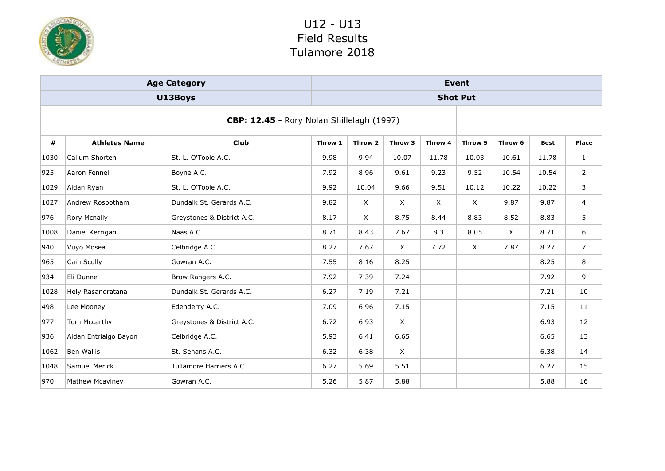

|      |                        | <b>Age Category</b>                              |         |          |              |          | <b>Event</b>    |         |             |                |
|------|------------------------|--------------------------------------------------|---------|----------|--------------|----------|-----------------|---------|-------------|----------------|
|      |                        | U13Boys                                          |         |          |              |          | <b>Shot Put</b> |         |             |                |
|      |                        | <b>CBP: 12.45 - Rory Nolan Shillelagh (1997)</b> |         |          |              |          |                 |         |             |                |
| #    | <b>Athletes Name</b>   | <b>Club</b>                                      | Throw 1 | Throw 2  | Throw 3      | Throw 4  | Throw 5         | Throw 6 | <b>Best</b> | <b>Place</b>   |
| 1030 | Callum Shorten         | St. L. O'Toole A.C.                              | 9.98    | 9.94     | 10.07        | 11.78    | 10.03           | 10.61   | 11.78       | $\mathbf{1}$   |
| 925  | Aaron Fennell          | Boyne A.C.                                       | 7.92    | 8.96     | 9.61         | 9.23     | 9.52            | 10.54   | 10.54       | $\overline{2}$ |
| 1029 | Aidan Ryan             | St. L. O'Toole A.C.                              | 9.92    | 10.04    | 9.66         | 9.51     | 10.12           | 10.22   | 10.22       | 3              |
| 1027 | Andrew Rosbotham       | Dundalk St. Gerards A.C.                         | 9.82    | $\times$ | X            | $\times$ | $\times$        | 9.87    | 9.87        | 4              |
| 976  | Rory Mcnally           | Greystones & District A.C.                       | 8.17    | X        | 8.75         | 8.44     | 8.83            | 8.52    | 8.83        | 5              |
| 1008 | Daniel Kerrigan        | Naas A.C.                                        | 8.71    | 8.43     | 7.67         | 8.3      | 8.05            | X       | 8.71        | 6              |
| 940  | Vuyo Mosea             | Celbridge A.C.                                   | 8.27    | 7.67     | X            | 7.72     | $\times$        | 7.87    | 8.27        | $\overline{7}$ |
| 965  | Cain Scully            | Gowran A.C.                                      | 7.55    | 8.16     | 8.25         |          |                 |         | 8.25        | 8              |
| 934  | Eli Dunne              | Brow Rangers A.C.                                | 7.92    | 7.39     | 7.24         |          |                 |         | 7.92        | 9              |
| 1028 | Hely Rasandratana      | Dundalk St. Gerards A.C.                         | 6.27    | 7.19     | 7.21         |          |                 |         | 7.21        | 10             |
| 498  | Lee Mooney             | Edenderry A.C.                                   | 7.09    | 6.96     | 7.15         |          |                 |         | 7.15        | 11             |
| 977  | Tom Mccarthy           | Greystones & District A.C.                       | 6.72    | 6.93     | $\mathsf{X}$ |          |                 |         | 6.93        | 12             |
| 936  | Aidan Entrialgo Bayon  | Celbridge A.C.                                   | 5.93    | 6.41     | 6.65         |          |                 |         | 6.65        | 13             |
| 1062 | Ben Wallis             | St. Senans A.C.                                  | 6.32    | 6.38     | $\mathsf{X}$ |          |                 |         | 6.38        | 14             |
| 1048 | Samuel Merick          | Tullamore Harriers A.C.                          | 6.27    | 5.69     | 5.51         |          |                 |         | 6.27        | 15             |
| 970  | <b>Mathew Mcaviney</b> | Gowran A.C.                                      | 5.26    | 5.87     | 5.88         |          |                 |         | 5.88        | 16             |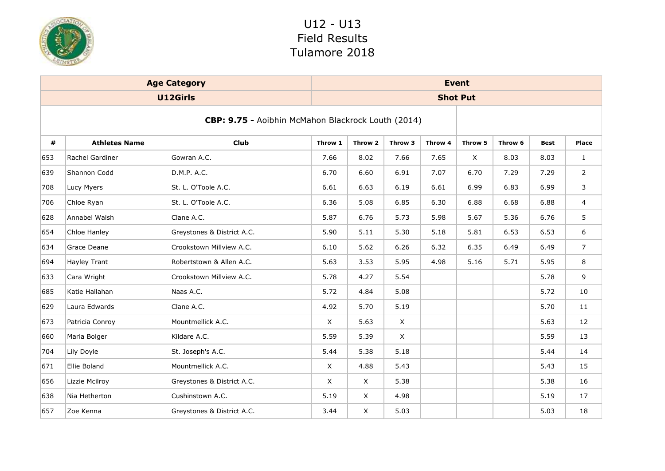

|     |                      | <b>Age Category</b>                                |              |              |              |         | <b>Event</b>    |         |             |                |
|-----|----------------------|----------------------------------------------------|--------------|--------------|--------------|---------|-----------------|---------|-------------|----------------|
|     |                      | U12Girls                                           |              |              |              |         | <b>Shot Put</b> |         |             |                |
|     |                      | CBP: 9.75 - Aoibhin McMahon Blackrock Louth (2014) |              |              |              |         |                 |         |             |                |
| #   | <b>Athletes Name</b> | <b>Club</b>                                        | Throw 1      | Throw 2      | Throw 3      | Throw 4 | Throw 5         | Throw 6 | <b>Best</b> | Place          |
| 653 | Rachel Gardiner      | Gowran A.C.                                        | 7.66         | 8.02         | 7.66         | 7.65    | $\mathsf{X}$    | 8.03    | 8.03        | $\mathbf{1}$   |
| 639 | Shannon Codd         | D.M.P. A.C.                                        | 6.70         | 6.60         | 6.91         | 7.07    | 6.70            | 7.29    | 7.29        | $\overline{2}$ |
| 708 | Lucy Myers           | St. L. O'Toole A.C.                                | 6.61         | 6.63         | 6.19         | 6.61    | 6.99            | 6.83    | 6.99        | 3              |
| 706 | Chloe Ryan           | St. L. O'Toole A.C.                                | 6.36         | 5.08         | 6.85         | 6.30    | 6.88            | 6.68    | 6.88        | $\overline{4}$ |
| 628 | Annabel Walsh        | Clane A.C.                                         | 5.87         | 6.76         | 5.73         | 5.98    | 5.67            | 5.36    | 6.76        | 5              |
| 654 | Chloe Hanley         | Greystones & District A.C.                         | 5.90         | 5.11         | 5.30         | 5.18    | 5.81            | 6.53    | 6.53        | 6              |
| 634 | Grace Deane          | Crookstown Millview A.C.                           | 6.10         | 5.62         | 6.26         | 6.32    | 6.35            | 6.49    | 6.49        | $\overline{7}$ |
| 694 | Hayley Trant         | Robertstown & Allen A.C.                           | 5.63         | 3.53         | 5.95         | 4.98    | 5.16            | 5.71    | 5.95        | 8              |
| 633 | Cara Wright          | Crookstown Millview A.C.                           | 5.78         | 4.27         | 5.54         |         |                 |         | 5.78        | 9              |
| 685 | Katie Hallahan       | Naas A.C.                                          | 5.72         | 4.84         | 5.08         |         |                 |         | 5.72        | 10             |
| 629 | Laura Edwards        | Clane A.C.                                         | 4.92         | 5.70         | 5.19         |         |                 |         | 5.70        | 11             |
| 673 | Patricia Conroy      | Mountmellick A.C.                                  | $\times$     | 5.63         | $\mathsf{X}$ |         |                 |         | 5.63        | 12             |
| 660 | Maria Bolger         | Kildare A.C.                                       | 5.59         | 5.39         | $\mathsf{X}$ |         |                 |         | 5.59        | 13             |
| 704 | Lily Doyle           | St. Joseph's A.C.                                  | 5.44         | 5.38         | 5.18         |         |                 |         | 5.44        | 14             |
| 671 | Ellie Boland         | Mountmellick A.C.                                  | $\mathsf{X}$ | 4.88         | 5.43         |         |                 |         | 5.43        | 15             |
| 656 | Lizzie Mcilroy       | Greystones & District A.C.                         | X            | $\mathsf X$  | 5.38         |         |                 |         | 5.38        | 16             |
| 638 | Nia Hetherton        | Cushinstown A.C.                                   | 5.19         | $\mathsf{X}$ | 4.98         |         |                 |         | 5.19        | 17             |
| 657 | Zoe Kenna            | Greystones & District A.C.                         | 3.44         | X            | 5.03         |         |                 |         | 5.03        | 18             |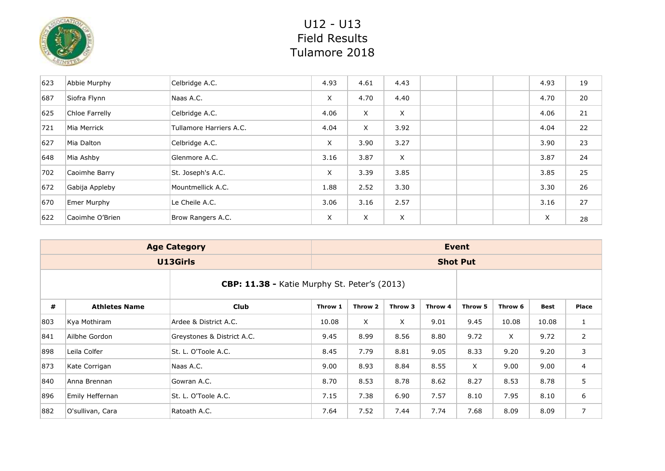

| 623 | Abbie Murphy    | Celbridge A.C.          | 4.93 | 4.61 | 4.43     |  | 4.93 | 19 |
|-----|-----------------|-------------------------|------|------|----------|--|------|----|
| 687 | Siofra Flynn    | Naas A.C.               | X    | 4.70 | 4.40     |  | 4.70 | 20 |
| 625 | Chloe Farrelly  | Celbridge A.C.          | 4.06 | X    | X        |  | 4.06 | 21 |
| 721 | Mia Merrick     | Tullamore Harriers A.C. | 4.04 | X    | 3.92     |  | 4.04 | 22 |
| 627 | Mia Dalton      | Celbridge A.C.          | X    | 3.90 | 3.27     |  | 3.90 | 23 |
| 648 | Mia Ashby       | Glenmore A.C.           | 3.16 | 3.87 | $\times$ |  | 3.87 | 24 |
| 702 | Caoimhe Barry   | St. Joseph's A.C.       | X    | 3.39 | 3.85     |  | 3.85 | 25 |
| 672 | Gabija Appleby  | Mountmellick A.C.       | 1.88 | 2.52 | 3.30     |  | 3.30 | 26 |
| 670 | Emer Murphy     | Le Cheile A.C.          | 3.06 | 3.16 | 2.57     |  | 3.16 | 27 |
| 622 | Caoimhe O'Brien | Brow Rangers A.C.       | Χ    | X    | X        |  | X    | 28 |

|                                                     |                      | <b>Age Category</b>        |         |              |         |                 | Event    |          |             |                |
|-----------------------------------------------------|----------------------|----------------------------|---------|--------------|---------|-----------------|----------|----------|-------------|----------------|
|                                                     |                      | U13Girls                   |         |              |         | <b>Shot Put</b> |          |          |             |                |
| <b>CBP: 11.38 - Katie Murphy St. Peter's (2013)</b> |                      |                            |         |              |         |                 |          |          |             |                |
| #                                                   | <b>Athletes Name</b> | <b>Club</b>                | Throw 1 | Throw 2      | Throw 3 | Throw 4         | Throw 5  | Throw 6  | <b>Best</b> | Place          |
| 803                                                 | Kya Mothiram         | Ardee & District A.C.      | 10.08   | $\mathsf{X}$ | X       | 9.01            | 9.45     | 10.08    | 10.08       | $\mathbf{1}$   |
| 841                                                 | Ailbhe Gordon        | Greystones & District A.C. | 9.45    | 8.99         | 8.56    | 8.80            | 9.72     | $\times$ | 9.72        | $\overline{2}$ |
| 898                                                 | Leila Colfer         | St. L. O'Toole A.C.        | 8.45    | 7.79         | 8.81    | 9.05            | 8.33     | 9.20     | 9.20        | 3              |
| 873                                                 | Kate Corrigan        | Naas A.C.                  | 9.00    | 8.93         | 8.84    | 8.55            | $\times$ | 9.00     | 9.00        | $\overline{4}$ |
| 840                                                 | Anna Brennan         | Gowran A.C.                | 8.70    | 8.53         | 8.78    | 8.62            | 8.27     | 8.53     | 8.78        | 5              |
| 896                                                 | Emily Heffernan      | St. L. O'Toole A.C.        | 7.15    | 7.38         | 6.90    | 7.57            | 8.10     | 7.95     | 8.10        | 6              |
| 882                                                 | O'sullivan, Cara     | Ratoath A.C.               | 7.64    | 7.52         | 7.44    | 7.74            | 7.68     | 8.09     | 8.09        | $\overline{7}$ |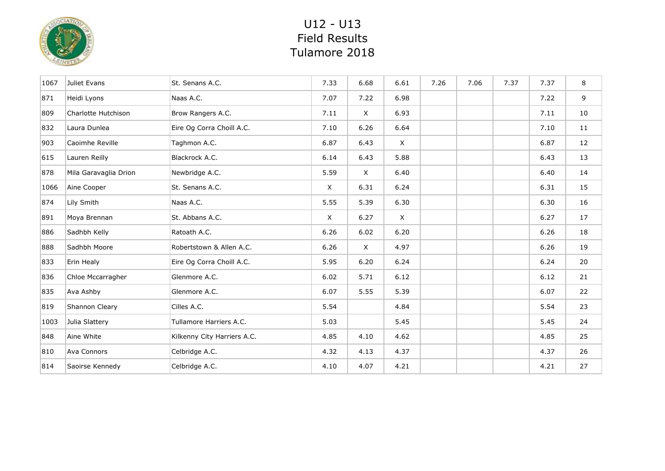

| 1067 | Juliet Evans          | St. Senans A.C.             | 7.33     | 6.68         | 6.61         | 7.26 | 7.06 | 7.37 | 7.37 | 8  |
|------|-----------------------|-----------------------------|----------|--------------|--------------|------|------|------|------|----|
| 871  | Heidi Lyons           | Naas A.C.                   | 7.07     | 7.22         | 6.98         |      |      |      | 7.22 | 9  |
| 809  | Charlotte Hutchison   | Brow Rangers A.C.           | 7.11     | $\times$     | 6.93         |      |      |      | 7.11 | 10 |
| 832  | Laura Dunlea          | Eire Og Corra Choill A.C.   | 7.10     | 6.26         | 6.64         |      |      |      | 7.10 | 11 |
| 903  | Caoimhe Reville       | Taghmon A.C.                | 6.87     | 6.43         | $\mathsf{X}$ |      |      |      | 6.87 | 12 |
| 615  | Lauren Reilly         | Blackrock A.C.              | 6.14     | 6.43         | 5.88         |      |      |      | 6.43 | 13 |
| 878  | Mila Garavaglia Drion | Newbridge A.C.              | 5.59     | $\mathsf{X}$ | 6.40         |      |      |      | 6.40 | 14 |
| 1066 | Aine Cooper           | St. Senans A.C.             | $\times$ | 6.31         | 6.24         |      |      |      | 6.31 | 15 |
| 874  | Lily Smith            | Naas A.C.                   | 5.55     | 5.39         | 6.30         |      |      |      | 6.30 | 16 |
| 891  | Moya Brennan          | St. Abbans A.C.             | $\times$ | 6.27         | $\mathsf{X}$ |      |      |      | 6.27 | 17 |
| 886  | Sadhbh Kelly          | Ratoath A.C.                | 6.26     | 6.02         | 6.20         |      |      |      | 6.26 | 18 |
| 888  | Sadhbh Moore          | Robertstown & Allen A.C.    | 6.26     | $\mathsf{X}$ | 4.97         |      |      |      | 6.26 | 19 |
| 833  | Erin Healy            | Eire Og Corra Choill A.C.   | 5.95     | 6.20         | 6.24         |      |      |      | 6.24 | 20 |
| 836  | Chloe Mccarragher     | Glenmore A.C.               | 6.02     | 5.71         | 6.12         |      |      |      | 6.12 | 21 |
| 835  | Ava Ashby             | Glenmore A.C.               | 6.07     | 5.55         | 5.39         |      |      |      | 6.07 | 22 |
| 819  | Shannon Cleary        | Cilles A.C.                 | 5.54     |              | 4.84         |      |      |      | 5.54 | 23 |
| 1003 | Julia Slattery        | Tullamore Harriers A.C.     | 5.03     |              | 5.45         |      |      |      | 5.45 | 24 |
| 848  | Aine White            | Kilkenny City Harriers A.C. | 4.85     | 4.10         | 4.62         |      |      |      | 4.85 | 25 |
| 810  | <b>Ava Connors</b>    | Celbridge A.C.              | 4.32     | 4.13         | 4.37         |      |      |      | 4.37 | 26 |
| 814  | Saoirse Kennedy       | Celbridge A.C.              | 4.10     | 4.07         | 4.21         |      |      |      | 4.21 | 27 |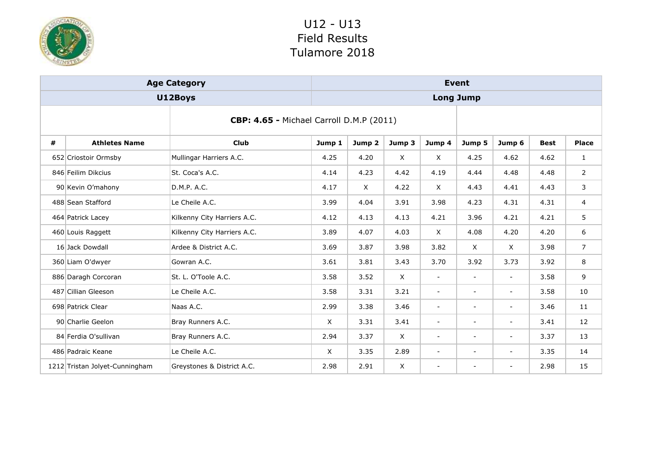

|   |                                | <b>Age Category</b>                      |        |              |              |                          | <b>Event</b>             |                           |             |                |
|---|--------------------------------|------------------------------------------|--------|--------------|--------------|--------------------------|--------------------------|---------------------------|-------------|----------------|
|   |                                | U12Boys                                  |        |              |              |                          | <b>Long Jump</b>         |                           |             |                |
|   |                                | CBP: 4.65 - Michael Carroll D.M.P (2011) |        |              |              |                          |                          |                           |             |                |
| # | <b>Athletes Name</b>           | <b>Club</b>                              | Jump 1 | Jump 2       | Jump 3       | Jump 4                   | Jump 5                   | Jump 6                    | <b>Best</b> | <b>Place</b>   |
|   | 652 Criostoir Ormsby           | Mullingar Harriers A.C.                  | 4.25   | 4.20         | X            | X.                       | 4.25                     | 4.62                      | 4.62        | $\mathbf{1}$   |
|   | 846 Feilim Dikcius             | St. Coca's A.C.                          | 4.14   | 4.23         | 4.42         | 4.19                     | 4.44                     | 4.48                      | 4.48        | $\overline{2}$ |
|   | 90 Kevin O'mahony              | D.M.P. A.C.                              | 4.17   | $\mathsf{X}$ | 4.22         | $\mathsf{X}$             | 4.43                     | 4.41                      | 4.43        | 3              |
|   | 488 Sean Stafford              | Le Cheile A.C.                           | 3.99   | 4.04         | 3.91         | 3.98                     | 4.23                     | 4.31                      | 4.31        | $\overline{4}$ |
|   | 464 Patrick Lacey              | Kilkenny City Harriers A.C.              | 4.12   | 4.13         | 4.13         | 4.21                     | 3.96                     | 4.21                      | 4.21        | 5              |
|   | 460 Louis Raggett              | Kilkenny City Harriers A.C.              | 3.89   | 4.07         | 4.03         | $\times$                 | 4.08                     | 4.20                      | 4.20        | 6              |
|   | 16 Jack Dowdall                | Ardee & District A.C.                    | 3.69   | 3.87         | 3.98         | 3.82                     | $\mathsf{X}$             | $\boldsymbol{\mathsf{X}}$ | 3.98        | $\overline{7}$ |
|   | 360 Liam O'dwyer               | Gowran A.C.                              | 3.61   | 3.81         | 3.43         | 3.70                     | 3.92                     | 3.73                      | 3.92        | 8              |
|   | 886 Daragh Corcoran            | St. L. O'Toole A.C.                      | 3.58   | 3.52         | X            | $\overline{\phantom{a}}$ | $\blacksquare$           | $\blacksquare$            | 3.58        | 9              |
|   | 487 Cillian Gleeson            | Le Cheile A.C.                           | 3.58   | 3.31         | 3.21         | $\blacksquare$           | $\blacksquare$           | $\overline{\phantom{a}}$  | 3.58        | 10             |
|   | 698 Patrick Clear              | Naas A.C.                                | 2.99   | 3.38         | 3.46         | $\sim$                   | $\overline{\phantom{a}}$ | $\overline{\phantom{a}}$  | 3.46        | 11             |
|   | 90 Charlie Geelon              | Bray Runners A.C.                        | X      | 3.31         | 3.41         | $\overline{\phantom{a}}$ | $\blacksquare$           | $\blacksquare$            | 3.41        | 12             |
|   | 84 Ferdia O'sullivan           | Bray Runners A.C.                        | 2.94   | 3.37         | X            | $\blacksquare$           | $\overline{\phantom{a}}$ | $\overline{\phantom{a}}$  | 3.37        | 13             |
|   | 486 Padraic Keane              | Le Cheile A.C.                           | X      | 3.35         | 2.89         | $\blacksquare$           | $\overline{\phantom{a}}$ | $\overline{\phantom{a}}$  | 3.35        | 14             |
|   | 1212 Tristan Jolyet-Cunningham | Greystones & District A.C.               | 2.98   | 2.91         | $\mathsf{X}$ | $\blacksquare$           | $\sim$                   | $\sim$                    | 2.98        | 15             |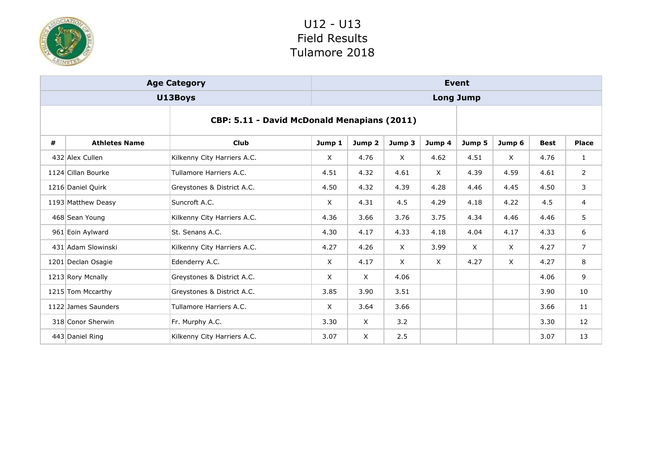

|   |                      | <b>Age Category</b>                         |          |              |        |        | Event            |          |             |                |
|---|----------------------|---------------------------------------------|----------|--------------|--------|--------|------------------|----------|-------------|----------------|
|   |                      | U13Boys                                     |          |              |        |        | <b>Long Jump</b> |          |             |                |
|   |                      | CBP: 5.11 - David McDonald Menapians (2011) |          |              |        |        |                  |          |             |                |
| # | <b>Athletes Name</b> | <b>Club</b>                                 | Jump 1   | Jump 2       | Jump 3 | Jump 4 | Jump 5           | Jump 6   | <b>Best</b> | <b>Place</b>   |
|   | 432 Alex Cullen      | Kilkenny City Harriers A.C.                 | $\times$ | 4.76         | X      | 4.62   | 4.51             | X        | 4.76        | $\mathbf{1}$   |
|   | 1124 Cillan Bourke   | Tullamore Harriers A.C.                     | 4.51     | 4.32         | 4.61   | X      | 4.39             | 4.59     | 4.61        | $\overline{2}$ |
|   | 1216 Daniel Quirk    | Greystones & District A.C.                  | 4.50     | 4.32         | 4.39   | 4.28   | 4.46             | 4.45     | 4.50        | 3              |
|   | 1193 Matthew Deasy   | Suncroft A.C.                               | $\times$ | 4.31         | 4.5    | 4.29   | 4.18             | 4.22     | 4.5         | $\overline{4}$ |
|   | 468 Sean Young       | Kilkenny City Harriers A.C.                 | 4.36     | 3.66         | 3.76   | 3.75   | 4.34             | 4.46     | 4.46        | 5              |
|   | 961 Eoin Aylward     | St. Senans A.C.                             | 4.30     | 4.17         | 4.33   | 4.18   | 4.04             | 4.17     | 4.33        | 6              |
|   | 431 Adam Slowinski   | Kilkenny City Harriers A.C.                 | 4.27     | 4.26         | X      | 3.99   | $\times$         | $\times$ | 4.27        | $\overline{7}$ |
|   | 1201 Declan Osagie   | Edenderry A.C.                              | $\times$ | 4.17         | X      | X      | 4.27             | $\times$ | 4.27        | 8              |
|   | 1213 Rory Mcnally    | Greystones & District A.C.                  | $\times$ | $\mathsf{X}$ | 4.06   |        |                  |          | 4.06        | 9              |
|   | 1215 Tom Mccarthy    | Greystones & District A.C.                  | 3.85     | 3.90         | 3.51   |        |                  |          | 3.90        | 10             |
|   | 1122 James Saunders  | Tullamore Harriers A.C.                     | $\times$ | 3.64         | 3.66   |        |                  |          | 3.66        | 11             |
|   | 318 Conor Sherwin    | Fr. Murphy A.C.                             | 3.30     | $\times$     | 3.2    |        |                  |          | 3.30        | 12             |
|   | 443 Daniel Ring      | Kilkenny City Harriers A.C.                 | 3.07     | X            | 2.5    |        |                  |          | 3.07        | 13             |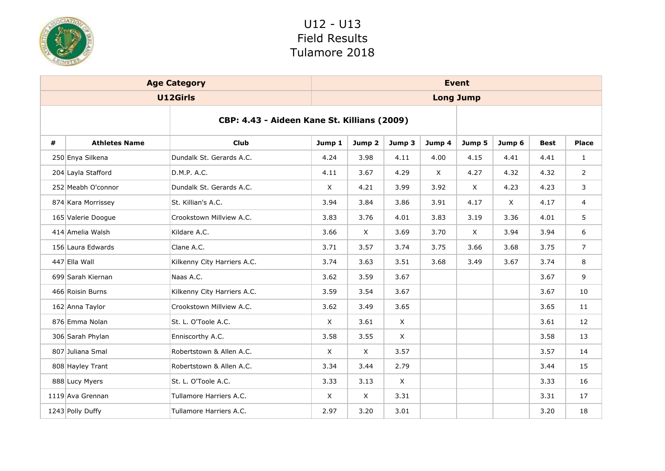

|   |                      | <b>Age Category</b>                         |             |              |              |              | <b>Event</b>     |          |             |                |
|---|----------------------|---------------------------------------------|-------------|--------------|--------------|--------------|------------------|----------|-------------|----------------|
|   |                      | U12Girls                                    |             |              |              |              | <b>Long Jump</b> |          |             |                |
|   |                      | CBP: 4.43 - Aideen Kane St. Killians (2009) |             |              |              |              |                  |          |             |                |
| # | <b>Athletes Name</b> | <b>Club</b>                                 | Jump 1      | Jump 2       | Jump 3       | Jump 4       | Jump 5           | Jump 6   | <b>Best</b> | <b>Place</b>   |
|   | 250 Enya Silkena     | Dundalk St. Gerards A.C.                    | 4.24        | 3.98         | 4.11         | 4.00         | 4.15             | 4.41     | 4.41        | $\mathbf{1}$   |
|   | 204 Layla Stafford   | D.M.P. A.C.                                 | 4.11        | 3.67         | 4.29         | $\mathsf{X}$ | 4.27             | 4.32     | 4.32        | $\overline{2}$ |
|   | 252 Meabh O'connor   | Dundalk St. Gerards A.C.                    | $\times$    | 4.21         | 3.99         | 3.92         | $\times$         | 4.23     | 4.23        | 3              |
|   | 874 Kara Morrissey   | St. Killian's A.C.                          | 3.94        | 3.84         | 3.86         | 3.91         | 4.17             | $\times$ | 4.17        | $\overline{4}$ |
|   | 165 Valerie Doogue   | Crookstown Millview A.C.                    | 3.83        | 3.76         | 4.01         | 3.83         | 3.19             | 3.36     | 4.01        | 5              |
|   | 414 Amelia Walsh     | Kildare A.C.                                | 3.66        | $\mathsf{X}$ | 3.69         | 3.70         | $\times$         | 3.94     | 3.94        | 6              |
|   | 156 Laura Edwards    | Clane A.C.                                  | 3.71        | 3.57         | 3.74         | 3.75         | 3.66             | 3.68     | 3.75        | $\overline{7}$ |
|   | 447 Ella Wall        | Kilkenny City Harriers A.C.                 | 3.74        | 3.63         | 3.51         | 3.68         | 3.49             | 3.67     | 3.74        | 8              |
|   | 699 Sarah Kiernan    | Naas A.C.                                   | 3.62        | 3.59         | 3.67         |              |                  |          | 3.67        | 9              |
|   | 466 Roisin Burns     | Kilkenny City Harriers A.C.                 | 3.59        | 3.54         | 3.67         |              |                  |          | 3.67        | 10             |
|   | 162 Anna Taylor      | Crookstown Millview A.C.                    | 3.62        | 3.49         | 3.65         |              |                  |          | 3.65        | 11             |
|   | 876 Emma Nolan       | St. L. O'Toole A.C.                         | $\mathsf X$ | 3.61         | $\mathsf{X}$ |              |                  |          | 3.61        | 12             |
|   | 306 Sarah Phylan     | Enniscorthy A.C.                            | 3.58        | 3.55         | $\mathsf{X}$ |              |                  |          | 3.58        | 13             |
|   | 807 Juliana Smal     | Robertstown & Allen A.C.                    | $\times$    | $\mathsf{X}$ | 3.57         |              |                  |          | 3.57        | 14             |
|   | 808 Hayley Trant     | Robertstown & Allen A.C.                    | 3.34        | 3.44         | 2.79         |              |                  |          | 3.44        | 15             |
|   | 888 Lucy Myers       | St. L. O'Toole A.C.                         | 3.33        | 3.13         | $\mathsf{X}$ |              |                  |          | 3.33        | 16             |
|   | 1119 Ava Grennan     | Tullamore Harriers A.C.                     | $\mathsf X$ | $\mathsf{X}$ | 3.31         |              |                  |          | 3.31        | 17             |
|   | 1243 Polly Duffy     | Tullamore Harriers A.C.                     | 2.97        | 3.20         | 3.01         |              |                  |          | 3.20        | 18             |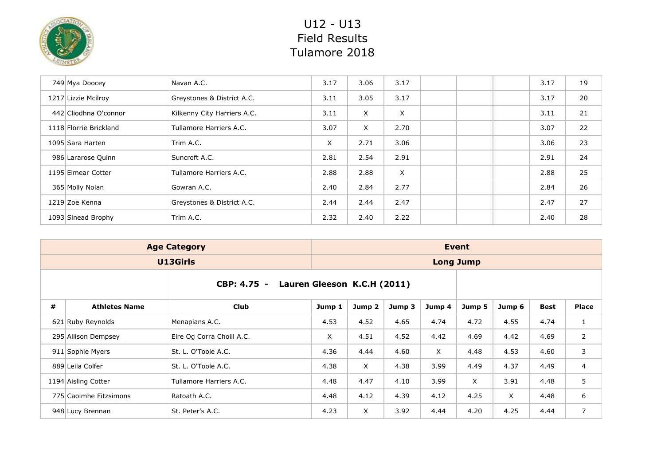

| 749 Mya Doocey         | Navan A.C.                  | 3.17 | 3.06 | 3.17 |  | 3.17 | 19 |
|------------------------|-----------------------------|------|------|------|--|------|----|
| 1217 Lizzie Mcilroy    | Greystones & District A.C.  | 3.11 | 3.05 | 3.17 |  | 3.17 | 20 |
| 442 Cliodhna O'connor  | Kilkenny City Harriers A.C. | 3.11 | X    | X    |  | 3.11 | 21 |
| 1118 Florrie Brickland | Tullamore Harriers A.C.     | 3.07 | X    | 2.70 |  | 3.07 | 22 |
| 1095 Sara Harten       | Trim A.C.                   | X    | 2.71 | 3.06 |  | 3.06 | 23 |
| 986 Lararose Quinn     | Suncroft A.C.               | 2.81 | 2.54 | 2.91 |  | 2.91 | 24 |
| 1195 Eimear Cotter     | Tullamore Harriers A.C.     | 2.88 | 2.88 | X    |  | 2.88 | 25 |
| 365 Molly Nolan        | Gowran A.C.                 | 2.40 | 2.84 | 2.77 |  | 2.84 | 26 |
| 1219 Zoe Kenna         | Greystones & District A.C.  | 2.44 | 2.44 | 2.47 |  | 2.47 | 27 |
| 1093 Sinead Brophy     | Trim A.C.                   | 2.32 | 2.40 | 2.22 |  | 2.40 | 28 |

|                                            | <b>Age Category</b>    |                           |        | Event             |        |        |                  |              |      |                |  |  |  |
|--------------------------------------------|------------------------|---------------------------|--------|-------------------|--------|--------|------------------|--------------|------|----------------|--|--|--|
|                                            |                        | U13Girls                  |        |                   |        |        | <b>Long Jump</b> |              |      |                |  |  |  |
| CBP: 4.75 -<br>Lauren Gleeson K.C.H (2011) |                        |                           |        |                   |        |        |                  |              |      |                |  |  |  |
| #                                          | <b>Athletes Name</b>   | <b>Club</b>               | Jump 1 | Jump <sub>2</sub> | Jump 3 | Jump 4 | Jump 5           | Jump 6       | Best | <b>Place</b>   |  |  |  |
|                                            | 621 Ruby Reynolds      | Menapians A.C.            | 4.53   | 4.52              | 4.65   | 4.74   | 4.72             | 4.55         | 4.74 | $\mathbf{1}$   |  |  |  |
|                                            | 295 Allison Dempsey    | Eire Og Corra Choill A.C. | X      | 4.51              | 4.52   | 4.42   | 4.69             | 4.42         | 4.69 | $\overline{2}$ |  |  |  |
|                                            | 911 Sophie Myers       | St. L. O'Toole A.C.       | 4.36   | 4.44              | 4.60   | X      | 4.48             | 4.53         | 4.60 | 3              |  |  |  |
|                                            | 889 Leila Colfer       | St. L. O'Toole A.C.       | 4.38   | $\times$          | 4.38   | 3.99   | 4.49             | 4.37         | 4.49 | $\overline{4}$ |  |  |  |
|                                            | 1194 Aisling Cotter    | Tullamore Harriers A.C.   | 4.48   | 4.47              | 4.10   | 3.99   | X                | 3.91         | 4.48 | 5              |  |  |  |
|                                            | 775 Caoimhe Fitzsimons | Ratoath A.C.              | 4.48   | 4.12              | 4.39   | 4.12   | 4.25             | $\mathsf{X}$ | 4.48 | 6              |  |  |  |
|                                            | 948 Lucy Brennan       | St. Peter's A.C.          | 4.23   | X                 | 3.92   | 4.44   | 4.20             | 4.25         | 4.44 | $\overline{7}$ |  |  |  |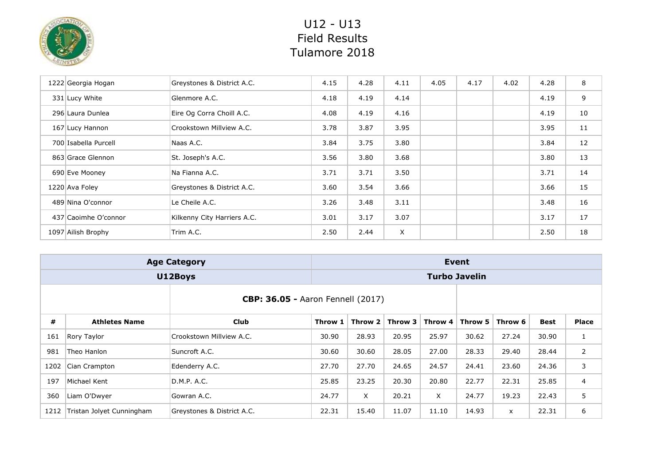

| 1222 Georgia Hogan   | Greystones & District A.C.  | 4.15 | 4.28 | 4.11 | 4.05 | 4.17 | 4.02 | 4.28 | 8  |
|----------------------|-----------------------------|------|------|------|------|------|------|------|----|
| 331 Lucy White       | Glenmore A.C.               | 4.18 | 4.19 | 4.14 |      |      |      | 4.19 | 9  |
| 296 Laura Dunlea     | Eire Og Corra Choill A.C.   | 4.08 | 4.19 | 4.16 |      |      |      | 4.19 | 10 |
| 167 Lucy Hannon      | Crookstown Millview A.C.    | 3.78 | 3.87 | 3.95 |      |      |      | 3.95 | 11 |
| 700 Isabella Purcell | Naas A.C.                   | 3.84 | 3.75 | 3.80 |      |      |      | 3.84 | 12 |
| 863 Grace Glennon    | St. Joseph's A.C.           | 3.56 | 3.80 | 3.68 |      |      |      | 3.80 | 13 |
| 690 Eve Mooney       | Na Fianna A.C.              | 3.71 | 3.71 | 3.50 |      |      |      | 3.71 | 14 |
| 1220 Ava Foley       | Greystones & District A.C.  | 3.60 | 3.54 | 3.66 |      |      |      | 3.66 | 15 |
| 489 Nina O'connor    | Le Cheile A.C.              | 3.26 | 3.48 | 3.11 |      |      |      | 3.48 | 16 |
| 437 Caoimhe O'connor | Kilkenny City Harriers A.C. | 3.01 | 3.17 | 3.07 |      |      |      | 3.17 | 17 |
| 1097 Ailish Brophy   | Trim A.C.                   | 2.50 | 2.44 | X    |      |      |      | 2.50 | 18 |

|      |                           | <b>Age Category</b>                      |         |         |         | Event                |         |              |             |                |
|------|---------------------------|------------------------------------------|---------|---------|---------|----------------------|---------|--------------|-------------|----------------|
|      |                           | U12Boys                                  |         |         |         | <b>Turbo Javelin</b> |         |              |             |                |
|      |                           | <b>CBP: 36.05 - Aaron Fennell (2017)</b> |         |         |         |                      |         |              |             |                |
| #    | <b>Athletes Name</b>      | Club                                     | Throw 1 | Throw 2 | Throw 3 | Throw 4              | Throw 5 | Throw 6      | <b>Best</b> | <b>Place</b>   |
| 161  | Rory Taylor               | Crookstown Millview A.C.                 | 30.90   | 28.93   | 20.95   | 25.97                | 30.62   | 27.24        | 30.90       | 1              |
| 981  | Theo Hanlon               | Suncroft A.C.                            | 30.60   | 30.60   | 28.05   | 27.00                | 28.33   | 29.40        | 28.44       | $\overline{2}$ |
| 1202 | Cian Crampton             | Edenderry A.C.                           | 27.70   | 27.70   | 24.65   | 24.57                | 24.41   | 23.60        | 24.36       | 3              |
| 197  | Michael Kent              | D.M.P. A.C.                              | 25.85   | 23.25   | 20.30   | 20.80                | 22.77   | 22.31        | 25.85       | 4              |
| 360  | Liam O'Dwyer              | Gowran A.C.                              | 24.77   | X       | 20.21   | $\times$             | 24.77   | 19.23        | 22.43       | 5              |
| 1212 | Tristan Jolyet Cunningham | Greystones & District A.C.               | 22.31   | 15.40   | 11.07   | 11.10                | 14.93   | $\mathsf{x}$ | 22.31       | 6              |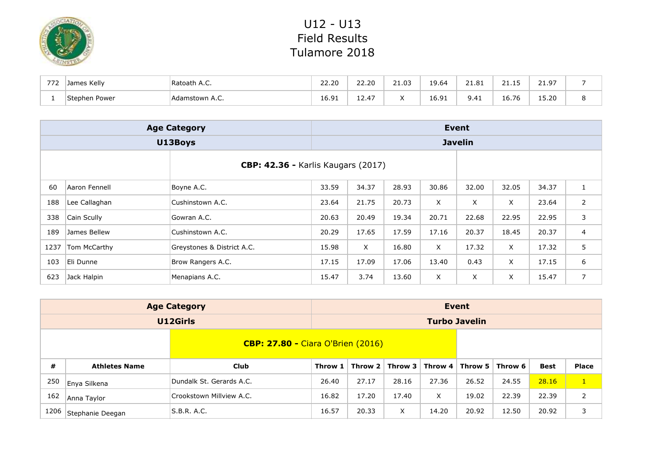

| フフつ<br>74 | James Kelly   | Ratoath A.C.   | חר רר<br>22.ZU                       | ີດ<br>$\sim$ $\sim$<br>22.ZU      | 21.03                  | 19.64 | <b>CITC</b><br>21.01 | - -<br>- -<br>------ | 21.97 |  |
|-----------|---------------|----------------|--------------------------------------|-----------------------------------|------------------------|-------|----------------------|----------------------|-------|--|
|           | Stephen Power | Adamstown A.C. | $\sim$ $\sim$ $\sim$<br>. .<br>10.JI | $\overline{a}$<br>$\sim$<br>12.47 | $\lambda$<br>$\lambda$ | 16.91 | 9.41<br>ີ            | $\sim$<br>16.76      | 15.20 |  |

|      |               | <b>Age Category</b>                       |       |       |       |          | Event          |       |       |                |
|------|---------------|-------------------------------------------|-------|-------|-------|----------|----------------|-------|-------|----------------|
|      |               | U13Boys                                   |       |       |       |          | <b>Javelin</b> |       |       |                |
|      |               | <b>CBP: 42.36 - Karlis Kaugars (2017)</b> |       |       |       |          |                |       |       |                |
| 60   | Aaron Fennell | Boyne A.C.                                | 33.59 | 34.37 | 28.93 | 30.86    | 32.00          | 32.05 | 34.37 | $\mathbf{1}$   |
| 188  | Lee Callaghan | Cushinstown A.C.                          | 23.64 | 21.75 | 20.73 | X        | X              | X     | 23.64 | $\overline{2}$ |
| 338  | Cain Scully   | Gowran A.C.                               | 20.63 | 20.49 | 19.34 | 20.71    | 22.68          | 22.95 | 22.95 | 3              |
| 189  | James Bellew  | Cushinstown A.C.                          | 20.29 | 17.65 | 17.59 | 17.16    | 20.37          | 18.45 | 20.37 | $\overline{4}$ |
| 1237 | Tom McCarthy  | Greystones & District A.C.                | 15.98 | X.    | 16.80 | $\times$ | 17.32          | X     | 17.32 | 5              |
| 103  | Eli Dunne     | Brow Rangers A.C.                         | 17.15 | 17.09 | 17.06 | 13.40    | 0.43           | X     | 17.15 | 6              |
| 623  | Jack Halpin   | Menapians A.C.                            | 15.47 | 3.74  | 13.60 | X        | X              | X     | 15.47 | $\overline{7}$ |

|      |                      | <b>Age Category</b>                      |         |                 |            |                        | Event |         |       |              |
|------|----------------------|------------------------------------------|---------|-----------------|------------|------------------------|-------|---------|-------|--------------|
|      |                      | U12Girls                                 |         |                 |            | <b>Turbo Javelin</b>   |       |         |       |              |
|      |                      | <b>CBP: 27.80 - Ciara O'Brien (2016)</b> |         |                 |            |                        |       |         |       |              |
| #    | <b>Athletes Name</b> | <b>Club</b>                              | Throw 1 | Throw 2 $\vert$ | Throw $31$ | Throw $4 \mid$ Throw 5 |       | Throw 6 | Best  | <b>Place</b> |
| 250  | Enya Silkena         | Dundalk St. Gerards A.C.                 | 26.40   | 27.17           | 28.16      | 27.36                  | 26.52 | 24.55   | 28.16 | $\mathbf{1}$ |
| 162  | Anna Taylor          | Crookstown Millview A.C.                 | 16.82   | 17.20           | 17.40      | X                      | 19.02 | 22.39   | 22.39 | 2            |
| 1206 | Stephanie Deegan     | S.B.R. A.C.                              | 16.57   | 20.33           | X          | 14.20                  | 20.92 | 12.50   | 20.92 | 3            |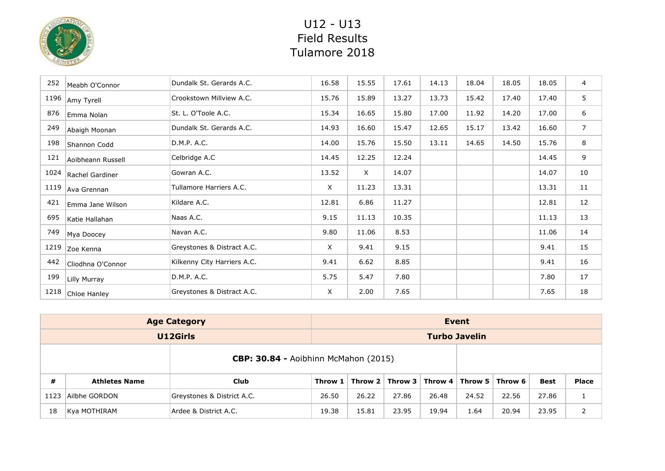

| 252  | Meabh O'Connor    | Dundalk St. Gerards A.C.    | 16.58 | 15.55    | 17.61 | 14.13 | 18.04 | 18.05 | 18.05 | $\overline{4}$ |
|------|-------------------|-----------------------------|-------|----------|-------|-------|-------|-------|-------|----------------|
| 1196 | Amy Tyrell        | Crookstown Millview A.C.    | 15.76 | 15.89    | 13.27 | 13.73 | 15.42 | 17.40 | 17.40 | 5              |
| 876  | Emma Nolan        | St. L. O'Toole A.C.         | 15.34 | 16.65    | 15.80 | 17.00 | 11.92 | 14.20 | 17.00 | 6              |
| 249  | Abaigh Moonan     | Dundalk St. Gerards A.C.    | 14.93 | 16.60    | 15.47 | 12.65 | 15.17 | 13.42 | 16.60 | $\overline{7}$ |
| 198  | Shannon Codd      | D.M.P. A.C.                 | 14.00 | 15.76    | 15.50 | 13.11 | 14.65 | 14.50 | 15.76 | 8              |
| 121  | Aoibheann Russell | Celbridge A.C               | 14.45 | 12.25    | 12.24 |       |       |       | 14.45 | 9              |
| 1024 | Rachel Gardiner   | Gowran A.C.                 | 13.52 | $\times$ | 14.07 |       |       |       | 14.07 | 10             |
| 1119 | Ava Grennan       | Tullamore Harriers A.C.     | X     | 11.23    | 13.31 |       |       |       | 13.31 | 11             |
| 421  | Emma Jane Wilson  | Kildare A.C.                | 12.81 | 6.86     | 11.27 |       |       |       | 12.81 | 12             |
| 695  | Katie Hallahan    | Naas A.C.                   | 9.15  | 11.13    | 10.35 |       |       |       | 11.13 | 13             |
| 749  | Mya Doocey        | Navan A.C.                  | 9.80  | 11.06    | 8.53  |       |       |       | 11.06 | 14             |
| 1219 | Zoe Kenna         | Greystones & Distract A.C.  | X     | 9.41     | 9.15  |       |       |       | 9.41  | 15             |
| 442  | Cliodhna O'Connor | Kilkenny City Harriers A.C. | 9.41  | 6.62     | 8.85  |       |       |       | 9.41  | 16             |
| 199  | Lilly Murray      | D.M.P. A.C.                 | 5.75  | 5.47     | 7.80  |       |       |       | 7.80  | 17             |
| 1218 | Chloe Hanley      | Greystones & Distract A.C.  | X     | 2.00     | 7.65  |       |       |       | 7.65  | 18             |

|      |                      | <b>Age Category</b>        |                                             |       |                                       |       | Event                |         |             |                |
|------|----------------------|----------------------------|---------------------------------------------|-------|---------------------------------------|-------|----------------------|---------|-------------|----------------|
|      |                      | U12Girls                   |                                             |       |                                       |       | <b>Turbo Javelin</b> |         |             |                |
|      |                      |                            | <b>CBP: 30.84 - Aoibhinn McMahon (2015)</b> |       |                                       |       |                      |         |             |                |
| #    | <b>Athletes Name</b> | Club                       | Throw $1 \mid$                              |       | Throw 2   Throw 3   Throw 4   Throw 5 |       |                      | Throw 6 | <b>Best</b> | <b>Place</b>   |
| 1123 | Ailbhe GORDON        | Greystones & District A.C. | 26.50                                       | 26.22 | 27.86                                 | 26.48 | 24.52                | 22.56   | 27.86       | 1              |
| 18   | Kya MOTHIRAM         | Ardee & District A.C.      | 19.38                                       | 15.81 | 23.95                                 | 19.94 | 1.64                 | 20.94   | 23.95       | $\overline{2}$ |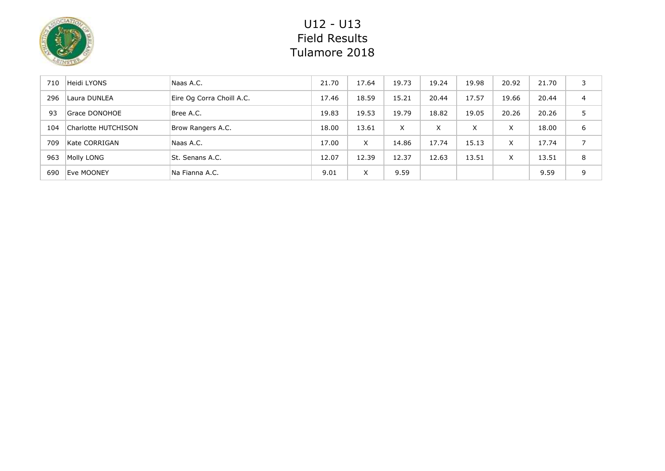

| 710 | Heidi LYONS         | Naas A.C.                 | 21.70 | 17.64    | 19.73 | 19.24 | 19.98 | 20.92 | 21.70 | 3              |
|-----|---------------------|---------------------------|-------|----------|-------|-------|-------|-------|-------|----------------|
| 296 | Laura DUNLEA        | Eire Og Corra Choill A.C. | 17.46 | 18.59    | 15.21 | 20.44 | 17.57 | 19.66 | 20.44 | $\overline{4}$ |
| 93  | Grace DONOHOE       | Bree A.C.                 | 19.83 | 19.53    | 19.79 | 18.82 | 19.05 | 20.26 | 20.26 | 5              |
| 104 | Charlotte HUTCHISON | Brow Rangers A.C.         | 18.00 | 13.61    | X     | X     | X     | X     | 18.00 | 6              |
| 709 | Kate CORRIGAN       | Naas A.C.                 | 17.00 | $\times$ | 14.86 | 17.74 | 15.13 | X     | 17.74 | ⇁              |
| 963 | Molly LONG          | St. Senans A.C.           | 12.07 | 12.39    | 12.37 | 12.63 | 13.51 | X     | 13.51 | 8              |
| 690 | Eve MOONEY          | Na Fianna A.C.            | 9.01  | X        | 9.59  |       |       |       | 9.59  | 9              |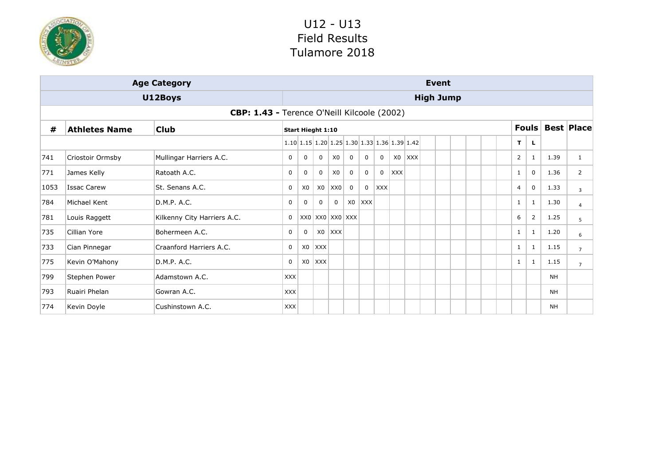

|      |                      | <b>Age Category</b>                                |             |                                                                                                 |                                              |                               |                |             |             |    |     | Event            |                |   |              |              |           |                   |
|------|----------------------|----------------------------------------------------|-------------|-------------------------------------------------------------------------------------------------|----------------------------------------------|-------------------------------|----------------|-------------|-------------|----|-----|------------------|----------------|---|--------------|--------------|-----------|-------------------|
|      |                      | U12Boys                                            |             |                                                                                                 |                                              |                               |                |             |             |    |     | <b>High Jump</b> |                |   |              |              |           |                   |
|      |                      | <b>CBP: 1.43 - Terence O'Neill Kilcoole (2002)</b> |             |                                                                                                 |                                              |                               |                |             |             |    |     |                  |                |   |              |              |           |                   |
| #    | <b>Athletes Name</b> | <b>Club</b>                                        |             |                                                                                                 | <b>Start Hieght 1:10</b>                     |                               |                |             |             |    |     |                  |                |   |              | <b>Fouls</b> |           | <b>Best Place</b> |
|      |                      |                                                    |             |                                                                                                 | 1.10 1.15 1.20 1.25 1.30 1.33 1.36 1.39 1.42 |                               |                |             |             |    |     |                  |                |   | T.           | L            |           |                   |
| 741  | Criostoir Ormsby     | Mullingar Harriers A.C.                            | 0           | 0                                                                                               | $\mathbf{0}$                                 | X0                            | $\overline{0}$ | $\mathbf 0$ | $\mathbf 0$ | X0 | XXX |                  |                |   | 2            | 1            | 1.39      | $\mathbf{1}$      |
| 771  | James Kelly          | Ratoath A.C.                                       | $\mathbf 0$ | X <sub>0</sub><br><b>XXX</b><br>$\mathbf{0}$<br>$\mathbf 0$<br>$\mathbf 0$<br>$\mathbf{0}$<br>0 |                                              |                               |                |             |             |    |     |                  |                | 1 | $\mathbf 0$  | 1.36         | 2         |                   |
| 1053 | <b>Issac Carew</b>   | St. Senans A.C.                                    | 0           | $X0$ $XX0$<br>X0<br>$\mathbf 0$<br>$\mathbf{0}$<br><b>XXX</b>                                   |                                              |                               |                |             |             |    |     |                  | $\overline{4}$ | 0 | 1.33         | 3            |           |                   |
| 784  | Michael Kent         | D.M.P. A.C.                                        | $\mathbf 0$ | 0                                                                                               | 0                                            | $\mathbf 0$                   | X0             | <b>XXX</b>  |             |    |     |                  |                |   | 1            | $\mathbf{1}$ | 1.30      | 4                 |
| 781  | Louis Raggett        | Kilkenny City Harriers A.C.                        | $\mathbf 0$ |                                                                                                 | XX0 XX0 XX0 XXX                              |                               |                |             |             |    |     |                  |                |   | 6            | 2            | 1.25      | 5                 |
| 735  | Cillian Yore         | Bohermeen A.C.                                     | 0           | 0                                                                                               |                                              | X <sub>0</sub> X <sub>X</sub> |                |             |             |    |     |                  |                |   | $\mathbf{1}$ | 1            | 1.20      | 6                 |
| 733  | Cian Pinnegar        | Craanford Harriers A.C.                            | $\mathbf 0$ | X0                                                                                              | <b>XXX</b>                                   |                               |                |             |             |    |     |                  |                |   | 1            | 1            | 1.15      | $\overline{7}$    |
| 775  | Kevin O'Mahony       | D.M.P. A.C.                                        | 0           | X0                                                                                              | <b>XXX</b>                                   |                               |                |             |             |    |     |                  |                |   | 1            | 1            | 1.15      | $\overline{7}$    |
| 799  | Stephen Power        | Adamstown A.C.                                     | <b>XXX</b>  |                                                                                                 |                                              |                               |                |             |             |    |     |                  |                |   |              |              | <b>NH</b> |                   |
| 793  | Ruairi Phelan        | Gowran A.C.                                        | <b>XXX</b>  |                                                                                                 |                                              |                               |                |             |             |    |     |                  |                |   |              |              | <b>NH</b> |                   |
| 774  | Kevin Doyle          | Cushinstown A.C.                                   | <b>XXX</b>  |                                                                                                 |                                              |                               |                |             |             |    |     |                  |                |   |              |              | <b>NH</b> |                   |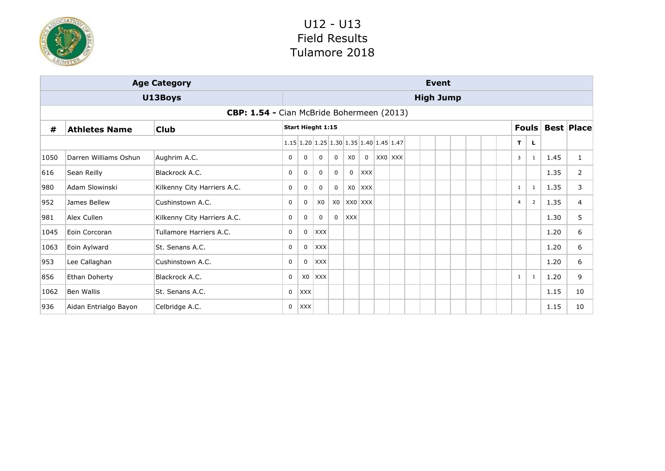

|      |                       | <b>Age Category</b>                       |             |              |                                         |                |                |              |         | <b>Event</b>     |  |  |                |                |      |                   |
|------|-----------------------|-------------------------------------------|-------------|--------------|-----------------------------------------|----------------|----------------|--------------|---------|------------------|--|--|----------------|----------------|------|-------------------|
|      |                       | U13Boys                                   |             |              |                                         |                |                |              |         | <b>High Jump</b> |  |  |                |                |      |                   |
|      |                       | CBP: 1.54 - Cian McBride Bohermeen (2013) |             |              |                                         |                |                |              |         |                  |  |  |                |                |      |                   |
| #    | <b>Athletes Name</b>  | <b>Club</b>                               |             |              | <b>Start Hieght 1:15</b>                |                |                |              |         |                  |  |  |                | Fouls          |      | <b>Best Place</b> |
|      |                       |                                           |             |              | 1.15 1.20 1.25 1.30 1.35 1.40 1.45 1.47 |                |                |              |         |                  |  |  | T.             | L              |      |                   |
| 1050 | Darren Williams Oshun | Aughrim A.C.                              | $\mathbf 0$ | 0            | $\mathbf 0$                             | $\mathbf{0}$   | X0             | $\mathbf{0}$ | XX0 XXX |                  |  |  | 3              | 1              | 1.45 | $\mathbf{1}$      |
| 616  | Sean Reilly           | Blackrock A.C.                            | $\mathbf 0$ | 0            | $\mathbf{0}$                            | $\overline{0}$ | $\mathbf{0}$   | <b>XXX</b>   |         |                  |  |  |                |                | 1.35 | $\overline{2}$    |
| 980  | Adam Slowinski        | Kilkenny City Harriers A.C.               | $\Omega$    | $\mathbf{0}$ | $\mathbf 0$                             | $\mathbf 0$    | X <sub>0</sub> | <b>XXX</b>   |         |                  |  |  | 1              | 1              | 1.35 | 3                 |
| 952  | James Bellew          | Cushinstown A.C.                          | $\Omega$    | $\mathbf 0$  | X0                                      | X0             |                | XX0 XXX      |         |                  |  |  | $\overline{4}$ | $\overline{2}$ | 1.35 | 4                 |
| 981  | Alex Cullen           | Kilkenny City Harriers A.C.               | $\mathbf 0$ | 0            | $\mathbf 0$                             | $\mathbf{0}$   | <b>XXX</b>     |              |         |                  |  |  |                |                | 1.30 | 5                 |
| 1045 | Eoin Corcoran         | Tullamore Harriers A.C.                   | $\Omega$    | 0            | <b>XXX</b>                              |                |                |              |         |                  |  |  |                |                | 1.20 | 6                 |
| 1063 | Eoin Aylward          | St. Senans A.C.                           | $\mathbf 0$ | $\mathbf 0$  | <b>XXX</b>                              |                |                |              |         |                  |  |  |                |                | 1.20 | 6                 |
| 953  | Lee Callaghan         | Cushinstown A.C.                          | 0           | 0            | <b>XXX</b>                              |                |                |              |         |                  |  |  |                |                | 1.20 | 6                 |
| 856  | Ethan Doherty         | Blackrock A.C.                            | 0           | X0           | <b>XXX</b>                              |                |                |              |         |                  |  |  | $\mathbf{1}$   | 1              | 1.20 | 9                 |
| 1062 | Ben Wallis            | St. Senans A.C.                           | $\mathbf 0$ | <b>XXX</b>   |                                         |                |                |              |         |                  |  |  |                |                | 1.15 | 10                |
| 936  | Aidan Entrialgo Bayon | Celbridge A.C.                            | 0           | <b>XXX</b>   |                                         |                |                |              |         |                  |  |  |                |                | 1.15 | 10                |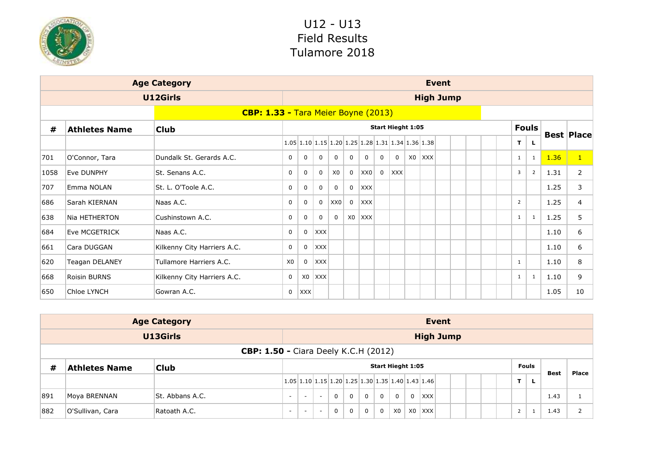

|      |                      | <b>Age Category</b>                 |                |             |              |              |              |                 |              |                          |    |                                                                                                       | <b>Event</b> |  |              |                |      |                   |
|------|----------------------|-------------------------------------|----------------|-------------|--------------|--------------|--------------|-----------------|--------------|--------------------------|----|-------------------------------------------------------------------------------------------------------|--------------|--|--------------|----------------|------|-------------------|
|      |                      | U12Girls                            |                |             |              |              |              |                 |              |                          |    | <b>High Jump</b>                                                                                      |              |  |              |                |      |                   |
|      |                      | CBP: 1.33 - Tara Meier Boyne (2013) |                |             |              |              |              |                 |              |                          |    |                                                                                                       |              |  |              |                |      |                   |
| #    | <b>Athletes Name</b> | <b>Club</b>                         |                |             |              |              |              |                 |              | <b>Start Hieght 1:05</b> |    |                                                                                                       |              |  |              | <b>Fouls</b>   |      | <b>Best Place</b> |
|      |                      |                                     |                |             |              |              |              |                 |              |                          |    | $1.05 \mid 1.10 \mid 1.15 \mid 1.20 \mid 1.25 \mid 1.28 \mid 1.31 \mid 1.34 \mid 1.36 \mid 1.38 \mid$ |              |  | T.           | L.             |      |                   |
| 701  | O'Connor, Tara       | Dundalk St. Gerards A.C.            | $\mathbf 0$    | $\mathbf 0$ | 0            | $\mathbf{0}$ | $\mathbf 0$  | $\mathbf 0$     | $\mathbf 0$  | $\mathbf{0}$             | X0 | $ $ XXX                                                                                               |              |  | $\mathbf{1}$ | 1              | 1.36 | $\mathbf{1}$      |
| 1058 | Eve DUNPHY           | St. Senans A.C.                     | $\Omega$       | 0           | $\mathbf 0$  | X0           | $\mathbf{0}$ | XX <sub>0</sub> | $\mathbf{0}$ | <b>XXX</b>               |    |                                                                                                       |              |  | 3            | $\overline{2}$ | 1.31 | $\overline{2}$    |
| 707  | Emma NOLAN           | St. L. O'Toole A.C.                 | $\mathbf 0$    | 0           | $\mathbf{0}$ | $\mathbf{0}$ | $\mathbf{0}$ | <b>XXX</b>      |              |                          |    |                                                                                                       |              |  |              |                | 1.25 | 3                 |
| 686  | Sarah KIERNAN        | Naas A.C.                           | $\mathbf 0$    | 0           | $\mathbf{0}$ | XX0          | $\mathbf{0}$ | <b>XXX</b>      |              |                          |    |                                                                                                       |              |  | 2            |                | 1.25 | $\overline{4}$    |
| 638  | Nia HETHERTON        | Cushinstown A.C.                    | $\mathbf 0$    | 0           | $\mathbf 0$  | $\mathbf{0}$ | X0           | <b>XXX</b>      |              |                          |    |                                                                                                       |              |  | 1            | 1              | 1.25 | 5                 |
| 684  | <b>Eve MCGETRICK</b> | Naas A.C.                           | 0              | 0           | <b>XXX</b>   |              |              |                 |              |                          |    |                                                                                                       |              |  |              |                | 1.10 | 6                 |
| 661  | Cara DUGGAN          | Kilkenny City Harriers A.C.         | $\mathbf 0$    | 0           | <b>XXX</b>   |              |              |                 |              |                          |    |                                                                                                       |              |  |              |                | 1.10 | 6                 |
| 620  | Teagan DELANEY       | Tullamore Harriers A.C.             | X <sub>0</sub> | 0           | <b>XXX</b>   |              |              |                 |              |                          |    |                                                                                                       |              |  | 1            |                | 1.10 | 8                 |
| 668  | Roisin BURNS         | Kilkenny City Harriers A.C.         | $\mathbf 0$    | X0          | <b>XXX</b>   |              |              |                 |              |                          |    |                                                                                                       |              |  | 1            | 1              | 1.10 | 9                 |
| 650  | Chloe LYNCH          | Gowran A.C.                         | 0              | <b>XXX</b>  |              |              |              |                 |              |                          |    |                                                                                                       |              |  |              |                | 1.05 | 10                |

|     |                      | <b>Age Category</b>                         |        |                          |              |                |             |              |                          |             | Event                                                                                                                 |  |  |        |              |             |       |
|-----|----------------------|---------------------------------------------|--------|--------------------------|--------------|----------------|-------------|--------------|--------------------------|-------------|-----------------------------------------------------------------------------------------------------------------------|--|--|--------|--------------|-------------|-------|
|     |                      | U13Girls                                    |        |                          |              |                |             |              |                          |             | <b>High Jump</b>                                                                                                      |  |  |        |              |             |       |
|     |                      | <b>CBP: 1.50 - Ciara Deely K.C.H (2012)</b> |        |                          |              |                |             |              |                          |             |                                                                                                                       |  |  |        |              |             |       |
| #   | <b>Athletes Name</b> | <b>Club</b>                                 |        |                          |              |                |             |              | <b>Start Hieght 1:05</b> |             |                                                                                                                       |  |  |        | <b>Fouls</b> | <b>Best</b> | Place |
|     |                      |                                             |        |                          |              |                |             |              |                          |             | $\vert 1.05 \vert 1.10 \vert 1.15 \vert 1.20 \vert 1.25 \vert 1.30 \vert 1.35 \vert 1.40 \vert 1.43 \vert 1.46 \vert$ |  |  | т.     |              |             |       |
| 891 | Moya BRENNAN         | St. Abbans A.C.                             | $\sim$ | $\overline{\phantom{a}}$ | $\Omega$     | $\overline{0}$ | $\Omega$    | $\mathbf{0}$ | $\mathbf 0$              | $\mathbf 0$ | <b>XXX</b>                                                                                                            |  |  |        |              | 1.43        |       |
| 882 | O'Sullivan, Cara     | Ratoath A.C.                                | $\sim$ | $\sim$                   | $\mathbf{0}$ | $\mathbf{0}$   | $\mathbf 0$ | $\mathbf 0$  | X <sub>0</sub>           | X0          | <b>XXX</b>                                                                                                            |  |  | $\sim$ |              | 1.43        |       |